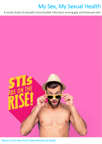# My Sex, My Sexual Health

A social study of sexually transmissible infections among gay and bisexual men



Report to the New South Wales Ministry of Health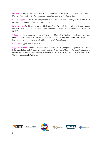Prepared by Denton Callander, Steven Philpot, Limin Mao, Brent Mackie, Tim Duck, Craig Cooper, Matthew Vaughan, Shih-Chi Kao, Larissa Lewis, Basil Donovan and Christopher Bourne

Financial support for this project was provided by the New South Wales Ministry of Health *BBV & STI Research, Intervention and Strategic Evaluation Program*.

Ethical oversight for this project was provided by the South Eastern Sydney Local Health District Human Research Ethics Committee (reference 17.356) and the ACON Human Research Ethics Panel (reference 201813).

Collaboration for this project was led by The Kirby Institute (UNSW Sydney) in partnership with the Centre for Social Research in Health (UNSW Sydney), ACON, the New South Wales STI Programs Unit, Positive Life New South Wales, and the STIs in Gay Men's Action Group.

Design imagery provided by Aaron Paul.

Suggested citation: Callander D, Philpot S, Mao L, Mackie B, Duck T, Cooper C, Vaughan M, Kao S, Lewis L, Donovan B, Bourne C. *'My Sex, My Sexual Health': A Social Study of Sexually Transmissible Infections among Gay and Bisexual Men. Report to the New South Wales Ministry of Health*. 2019. Sydney, NSW: The Kirby Institute, UNSW Sydney.



**PositiveLifeNSW** 







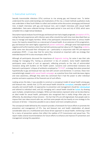## 1. Executive summary

Sexually transmissible infections (STIs) continue to rise among gay and bisexual men. To better understand the social understandings and implications of this rise, a mixed methods qualitative study was undertaken in New South Wales to collect and combine online discussions among gay and bisexual men, in-depth interviews with gay and bisexual men, and in-depth interviews with sexual health stakeholders. Data were collected during a three-week period in June and July of 2018, which were compiled into a single textual database.

Descriptive topical analyses found that gay and bisexual men had a largely pragmatic perception of STIs, noting that early experiences with infection were often stressful but with time most described them as easy to manage and largely harmless. While a few participants characterised them as serious health issues, the majority viewed them as a natural part of sexual health. As an extension of this pragmatism, gay and bisexual men were highly supportive of partner notification, although some had experienced negative and hurtful reactions when they had told a previous partner about an STI. Regarding condoms, while some men discussed their infrequent use – particularly in conjunction with HIV pre-exposure prophylaxis (PrEP) – it was clear that for some they remained an important safer sex strategy that extended beyond HIV to also encompass other STIs.

Although all participants discussed the importance of diagnostic testing, for some it was their sole strategy for managing STIs; 'testing as prevention' in lieu of condoms. Some health stakeholder participants were critical of such an approach, reflecting primarily on the risks of antimicrobial resistance along with burdens on the health system. Concerns over antimicrobial resistance also featured in participants' critiques of antibiotics employed as 'STI PrEP', a strategy that when presented hypothetically to gay and bisexual men was met with concern and disinterest. In contrast, these men overwhelmingly viewed public sexual health campaigns as a positive force that could decrease stigma and raise awareness, although they were less convinced that it had the power to alter individual practice and were suspicious of the financial cost of such efforts.

Looking across the data, it was possible to construct a conceptual model of sexual health among gay and bisexual men, namely that: (i) STIs and sexual health should be normalised, everyday aspects of sexuality and overall health, (ii) approaches to prevention and management should be individualised and tailored to individual need, and (iii) managing one's sexual health should be **holistic** by drawing upon multiple, complementary strategies. While such descriptions represent what can be described as an *ideal* model for sexual health, participants also recognised that in *reality* things often play out differently. By attending to these tensions – the fact that STIs are still stigmatised, that people seek to impose their own ideas around safer sex, and that some people rely too heavily on one strategy to the exclusion of all else – it becomes possible to see a clearer and more complete picture.

The conceptual model defined by this research provides a framework for future efforts to promote the prevention and management of STIs. Gay and bisexual men and health stakeholders all placed considerable value on a multifaceted and choice-driven approach to sexual health, reinforcing a need for a menu of prevention options that reflect the realities of STI transmission and sexual lives. This report makes several recommendations for future efforts to enhance and improve STI prevention and management among this population.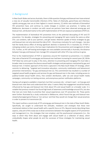## 2. Background

In New South Wales and across Australia, there is little question that gay and bisexual men have entered a new era of sexually transmissible infections (STIs). Rates of chlamydia, gonorrhoea and infectious syphilis among gay men are at their highest in recent memory, [1] whilst new methods of biomedical HIV prevention have, and continue to, evoke changes in condom use practices. In Sydney and Melbourne, decreases in condom use with casual sex partners have been observed among gay and bisexual men, attributed mainly to the swift implementation of HIV pre-exposure prophylaxis (PrEP) [2].

The implementation of biomedical HIV prevention hints at the potential decoupling of HIV and STI prevention. For decades, strategies for preventing and managing HIV were mainly the same as other STIs: use condoms, talk to your partners, and get tested. Attentive uptake of these strategies by gay and bisexual men not only stemmed the tide of HIV – the primary motivator for such changes – but also had the handy bonus effect of driving significant declines in bacterial STIs in Australia [3]. If PrEP is reshaping condom use norms, this has major implications for the prevention and management of other STIs. Further, as HIV self-testing technologies are now available commercially in Australia, the distance between how gay and bisexual men manage HIV compared with other STIs may continue to grow.

Prior to the implementation of PrEP or awareness around HIV treatment-as-prevention, it is notable that rates of bacterial STIs among gay and bisexual men had been increasing for several years [4]. While PrEP likely has some part to play in this story, attention to preventing and managing STIs must take a broader view to encompass the diverse sexual health strategies and perceptions maintained by gay and bisexual men. A holistic approach of this kind is captured in the New South Wales STI Strategy, which commits to delivering, "targeted and innovative education, community mobilisation and behavioural prevention interventions," for gay and bisexual men [1]. This commitment has resulted in a number of targeted sexual health programs and services for gay and bisexual men in the state, including access to publicly-funded sexual health clinics, free condom distribution, safer sex and sexual health media campaigns, community-run testing services, and anonymous partner notification platforms.

Having such programs available is important, but their successes rely – at least in part – on how gay and bisexual men view them and understand their value. It seems likely that engagement would be heavily influenced by how gay and bisexual men think about STIs and sexual health on a broader scale. It is notable that previous research has found high levels of awareness and knowledge around STIs, but also that men are more likely to prioritise their sexual experiences over STI prevention [5]. These points were further illustrated by a study conducted in Melbourne, which found that gay and bisexual men viewed pharyngeal gonorrhoea as 'non-serious' and that they would not change their sexual practices in order to prevent its transmission [6].

This report outlines a social study of STIs among gay and bisexual men in the state of New South Wales. Specifically, we sought to understand the *attitudes*, *mediators* and *strategies* that these men maintained relative to their sexual health with a specific focus on STIs. Beyond merely describing these aspects, a key aim of this study was to draw connections between the tangible aspects of STI prevention and management (i.e., the strategies that men employ), and the psychosocial components (i.e., the ways in which they think about and engage with sexual health as a collection of ideas), which undoubtedly shapes what people do and the successes of those strategies for maintaining sexual health.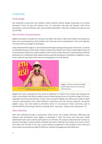## 3.Methods

## Study design

We undertook a concurrent and reflexive mixed methods research design comprising: (i) an online participant forum for gay and bisexual men, (ii) interviews with gay and bisexual male forum participants, and (iii) interviews with sexual health stakeholders. Data were collected during June and July of 2018.

## Recruitment and participants

Eligible participants included men 18 years and older who lived in New South Wales and reported at least once sexual experience with another man in the year prior to participation. Trans and cisgender men were both encouraged to participate.

Study advertisements (Figure 1) were distributed through existing online groups and forums, as well as via paid advertising on social media. Publicly-funded sexual health clinics were emailed digital copies of the promotional material to make available to their clients at their discretion. Advertisements directed participants to a dedicated study website where potential participants completed an eligibility survey, which collected some basic information on demographics and self-identity.



Figure 1. 'My Sex, My Sexual Health' social media and print recruitment advertisement

Eligible men were contacted via text, email or telephone to confirm their interest and describe the study in more detail, with efforts made to recruit a diverse group of men on the basis of age, HIV status, regionality and ethnoracial identity. Further, from our pool of eligible men efforts were made to select a diverse representation from within different communities and sub-cultures of gay life. During the eligible survey, men were asked to self-define within 11 non-exclusive 'tribes' commonly used to describe different kinds of gay identity, including 'bear', 'party boy', 'bisexual' and 'drag queen' [7].

## Data collection

Data were collected through an anonymous online forum and in-depth interviews. While gay and bisexual male participants were eligible to participate in both the forum and interviews, health stakeholders were only invited to participate in an interview. This project undertook what is known as iterative exchange of mixed methods, whereby data were collected concurrently and used to inform each other over time [8]. In this way, as data collection progressed it was possible to test, refine and enrich ideas encountered through the different methods of engagement described here.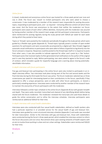#### *Online forum*

A closed, moderated and anonymous online forum was hosted for a three-week period over June and July in 2018. The forum was 'closed' to invited participants only who were asked to choose a screenname. It was moderated by a member of the research team responsible for posting discussion topics, responding to participant posts, and – as required – removing offensive content (of which there was none). And the forum was anonymous to the extent that neither the moderator nor forum participants were aware of each other's offline identities. Anonymity with the moderator was assured by having another member of the research team assign and link participant screennames. Participants were reimbursed for posting regularly during the study period with 50AUD per week for each week during which they posted at least twice.

Topics or 'threads' were posted by the moderator periodically throughout the study period, which were guided by a flexible topic guide (Appendix A). Thread topics typically posed a number of open-ended questions for participants and were occasionally accompanied by a digital poll. New threads triggered automatic email notifications to participants who were able to follow a hyperlink to log directly into the forum and post a response. Responses could be posted to the thread topic itself or in response to posts from other users; it was also possible to indicate approval for other user's posts by a 'like' button. Participant posts that received replies further generated email notifications to the author of the original post in case they wanted to reply. Before participating, men were asked to agree to the forum's code of conduct, which included a guide for respectful language and a warning about sharing potentiallyidentifiable information.

#### *In-depth interviews with forum participants*

Five gay and bisexual men participating in the online forum were also invited to participate in an indepth interview offline. Two interviews took place during each of the first and second weeks and the final interview during the third week the forum was active. The forum moderator selected two or three screennames per week for interviewing based on their contributions to the forum, specifically if they appeared to offer a unique perspective, were at odds with other forum participants, or shared a particularly revealing experience. Interviews were conducted by another member of the research team to maintain the anonymity of forum participants with the moderator.

Interviews followed a similar topic schedule to the online forum (Appendix B) but with greater breadth and depth. They were audio recorded, transcribed and cleaned of any identifying details before being shared with the forum moderator. The moderator reviewed the transcripts and used those details to guide the online conversation and to refine the interview schedules. Interview participants were reimbursed an additional 50AUD for their time.

#### *In-depth interviews with sexual health stakeholders*

Interviews were also conducted with four sexual health stakeholders, defined as health workers who had a particular expertise in or provided service for the sexual health of gay and bisexual men. Interviews were guided by a semi-structured interview schedule (Appendix C) and audio was recorded for later transcription. Similar to the interviews with gay and bisexual men, those with stakeholders were conducted during the forum's three-week period, which enabled the interview content to inform the forum discussions and *vice versa*. Recruitment drew upon existing networks of health experts with an aim to involve those working in urban and non-urban settings. Stakeholders were reimbursed 50AUD for their time.

#### Analysis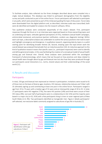To facilitate analysis, data collected via the three strategies described above were compiled into a single, textual database. This database was linked to participant demographics from the eligibility survey and polls conducted as part of the online forum. Forum participants self-selected to participate in any polls, which were presented as part of the initial post guiding the topic of discussion. Forum data were downloaded from the digital platform and, as described, interview audio was transcribed; both were de-identified and loaded for analysis into the research software, *NVivo*.

Two qualitative analyses were conducted sequentially of this study's dataset. First, participant responses through the forum or in an interview were organised based on three overarching topics and six underlying sub-topics: attitudes (general perceptions of STIs), mediators (sexual health campaigns, antimicrobial resistance), and practices (partner notification, condom use, diagnostic testing). Within each sub-topic, a descriptive analysis was undertaken to outline the various positions men took to each and highlight convergence and divergence. In qualitative research, organising data by topics is a useful starting point for identifying broader themes [9]. Second, drawing upon the topic-driven work the overall dataset was analysed thematically from an inductive position [10]. An inductive approach to this kind of qualitative research means that specific cases (i.e., participant responses) were used to identify and define general principles, in this case facilitating the creation of a conceptual model of sexual health among gay and bisexual men. Overall, these analyses were positioned within the sociological framework of phenomenology, which means that we focused on how practices and ideas related to sexual health were thought about by gay and bisexual men but also how they were produced through our participants social interactions (i.e., norms, shared values) and their understandings of the social world [11].

## 4. Results and discussion

#### Participants

In total, 159 gay and bisexual men expressed an interest in participation; invitations were issued to 61 of those men on the basis of diverse ages, locations, HIV statuses, relationship statuses and 'tribes' with 35 ultimately signing up and contributing at least one post in the online forum. Participants ranged in age from 19 to 73 years with a median age of 32 years and an interquartile range of 20 to 35. In total, 27 participants were HIV negative (77%), five were HIV positive (14%) and three were unsure of their HIV status (9%). Just over half of participants were in a relationship (n=18, 51%) and the majority were based in a major city (n=32, 91%) with a few participants living in inner or outer regional parts of New South Wales (n=3, 9%). Two participants identified as transgender men. Figure 2 details participants' self-selected, non-exclusive labels commonly assigned to subcultures of gay life in Australia [7].

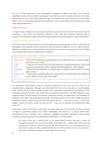Of the 35 forum participants, five participated in separate in-depth interviews. Four physician stakeholders were also recruited to participate in an interview, which included a director of an urban general practice clinic with a high caseload of gay and bisexual men, the director of an urban sexual health clinic, one regionally-based general practitioner, and a sexual health physician based at a large urban sexual health clinic.

## Topical analysis

A range of topics related to STIs and sexual health were presented via the online forum and during the interviews. In this section, we describe responses to each topic with particular attention paid to consensus and divergence within and between gay and bisexual male participants and key stakeholders.

#### *Attitudes: General perceptions of STIs*

Across this study, men were invited to share their experiences and perceptions of STIs. In a poll of forum participants, three quarters of men reported at least one previous diagnosis of an STI. Many had been diagnosed multiple times, with gonorrhoea being the most common first experience of an STI (what one participant described as "losing [his] STI virginity").

| First STI among gay and bisexual men |                                                                                        |  |
|--------------------------------------|----------------------------------------------------------------------------------------|--|
| Gonorrhoea                           | "My first STI (rectal gonorrhoea) came from sex I didn't even enjoy, a few years ago.  |  |
| $(n=9)$                              | He was just such a prick."                                                             |  |
| Crabs <sup>*</sup>                   | "Crabs are even worse if you're a bear-like person, they get everywhere. I was stuck   |  |
| $(n=8)$                              | at work for several hours after realising what had happened sheer torture."            |  |
| Chlamydia                            | "My first STI was chlamydia, I managed to get it in both my holes as well (I'm a trans |  |
| $(n=7)$                              | guy). Living!"                                                                         |  |
| Genital warts                        | "It was a pretty horrible experience, messed with my mental health and confidence      |  |
| $(n=2)$                              | a lot. I think I'm in the clear now though!"                                           |  |
|                                      |                                                                                        |  |

*\*There was some discussion over whether or not crabs 'qualified' as a STI. The general consensus was that it does, and also that it is among the most annoying* 

The quotations shared above reveal an important dimension of how men saw STIs, which can be characterised as pragmatic. Although some described their first STI as traumatic or uncomfortable, there seemed to be a balance between what forum participants described as the realities of STIs (treatable, generally harmless, part of gay life) and what they perceived to be their (typically minor) negative aspects (embarrassing, inconvenient, temporary shame), an appreciation that appeared to develop as men grew more experienced sexually. This finding closely mirrors the findings of previous Australian research, which found that while men do not *like* STIs – as one doctor put it, "I think most people, if given the choice, would not catch an STI" – they are not typically very bothered by them either [5].

Importantly, some of the doctors with whom we spoke were less convinced that STIs were as easily managed as perceived publicly. One health stakeholder, the director of a sexual health clinic, characterised STIs as "complex" and, in particular, highlighted emerging challenges of antimicrobial resistance and growing awareness of *Mycoplasma genitalium*. As he described:

*You know, we've got a whole bunch of, all sexual-health services have got a bunch of mycoplasma patients who are just essentially untreatable now… people hadn't even heard of mycoplasma, you know. I mean we've just done some research on it… on an individual level, you want them to make sure they understand that there are STIs out there and it's not as easy as it used to be.* (Interview participant, sexual health clinic director)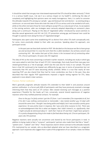It should be noted that one gay man interviewed expressed that STIs should be taken seriously ("I think it is a serious health issue…I do see it as a serious impact on my health"), reinforcing the idea of complexity and highlighting that opinions were not neatly homogenous. Here, it is useful to conceive the attitudes towards STIs among our sample – gay and bisexual men and doctors – as existing along a continuum: on one end were those who took the view of STIs as serious and to be avoided at all costs, while on the other end were those far more willing to accept STIs as a natural part of sex. As we explore in the coming sections, safer sex strategies were variously adopted depending on someone's place along such a continuum. Playing on the idea of 'negotiated safety' introduced by social scientists to describe sexual agreements and HIV risk [12], STI prevention among gay and bisexual men could be thought to operate more along the lines of 'negotiated danger'.

Participants also spent some time establishing HIV as distinct from other STIs both conceptually and, for some, more practically related to their safer sex practices. Speaking about his approach, one participant wrote:

*In the past year we have both started on PrEP. We decided on this because we like to have group sex and we found that it is now the norm that this is often bareback. Our primary concern was contracting HIV. We realise that part of this choice is the increased risk of contracting other STIs.* (Forum participant, 33-years-old, HIV negative)

This idea of HIV as the most concerning is echoed in earlier research, including one study in which gay men were asked to rank their fear of each STI [13]. Interestingly, that study found that many gay men viewed gonorrhoea as a 'rite of passage', which was the case also for many in our sample. The point here is that HIV continued to be treated very differently by gay men in terms of prevention but not necessarily that HIV and STI were becoming wholly unlinked. While it is true that nearly all men reporting PrEP use also shared that they had far more condomless sex than in the past, they also described that their regular PrEP appointments imposed a regular testing regimen for STIs, ideas explored in more detail in later sections.

#### *Practices: Partner notification*

Men's generally pragmatic attitude towards STIs extended to their belief in and practices around partner notification. In a forum poll, 60% of participants said they have previously received a message informing them that they were an STI contact. Men viewed receiving such messages as a positive experience ("thankful for the heads up") but, conversely, several shared experiences of negative reactions when they notified potential contacts. For example:

*Once to the guy I'm fairly certain I got the STI from. I can't remember if he responded at all, but if he did it was nothing controversial or memorable. I also texted another guy I'd slept with around the same time. I thought I was being polite and helpful, but it was actually a pretty gross experience. He was pretty mean in response, like I was some dirty nuisance to him. There was no acknowledgement that this is what can happen, that I didn't intend it, or, significantly, that I might actually be distressed about it - both that I had an STI and that I might have spread it. It's a pretty disappointing thing to be made to feel bad about being sick.* (Forum participant, 30 years-old, HIV positive)

Negative reactions were actually not uncommon and shared by ten forum participants in total. In addition to being made to feel a "nuisance", participants' partners also made them feel like a "skank", "patient zero", "rubbish" and "dirty". These responses stand in direct contrast to the attitudes towards STIs maintained by our sample, who as-described adopted what we have described as a pragmatic approach. Such responses also suggest that in spite of the pragmatism of our sample, it does not follow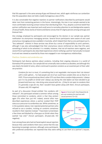that this approach is the same among all gay and bisexual men, which again reinforces our contention that this population does not hold a neatly homogenous view of STIs.

It is also conceivable that negative reactions to partner notifications described by participants would deter men from contacting partners in the future. Interestingly, the men in our sample seemed to be more comfortable receiving contact notices than distributing them. Thus, despite a common belief that partner notification was important and could serve to normalise attention to and destigmatise aspects of sexual health, these stories of shame and blame convey that STI stigma persists among some gay and bisexual men.

One strategy employed by participants and encouraged by the doctors in our sample was partner notification via anonymous messaging services. Several forum participants were aware of and used anonymous messaging services available in Australia, which helped them feel as one participant put it, "less awkward". Interest in these services was driven by a sense of responsibility to one's partners, although it was also acknowledged that their anonymous nature reinforced an idea that STIs were something of which to be ashamed. It is notable, however, that not all reactions were negative, and several forum participants also described experiences where notifying a partner had actually increased trust and was viewed as essential by those men engaged in non-monogamous relationships.

#### *Practices: Condoms and condomless sex*

Participants had diverse opinions about condoms, including their ongoing relevance in a world of biomedical HIV prevention. Our sample did not universally view condoms as obsolete, and although this was clearly the belief of some, others continued to position condoms as an essential part of their safer sex practices:

*Condoms for me is a must, it's something that is not negotiable. And anyone that I do interact with is told upfront… I've had people ask me if we could have condom free sex as they're on PrEP, I'll turn around and say there's other STI's out there that a condom helps prevents. I always put it in my profile on Grindr and I always say during the chat before we have decided to go forward and have sex, I also bring some around with me… If they're not open to condoms then it's generally a sign for me, that I wouldn't have gotten along with them.* (Forum participant, 24-years-old, HIV negative)

As part of a discussion thread entitled 'Are condoms still relevant?', this participant echoed a common refrain among those committed to condoms, which is that they protect again STIs other than just HIV. Indeed, several other men described experiences where a partner evoked their PrEP status as a precursor to condomless sex. While sometimes, as in the quotation above, men rejected potential partners who refused to use a condom, insisting on condoms sometimes resulted in their rejection instead: "I have been turned down a few times and blocked by a few guys on Grindr when they wanted 'raw only'" (Forum participant, 20-years-old, HIV negative).

Even among those who had not faced explicit sexual rejection because they used condoms there was a sense that this was becoming increasingly common, although some participants





who preferred condomless sex reported that they were willing to use them at a partner's request.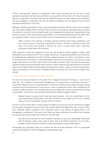Further, echoing earlier research on negotiated safety around condom use and HIV [12], several participants reported that they were less likely to use condoms with partners with whom they were familiar, as opposed to those they had just met. While familiarity may have helped some participants feel safer engaging in condomless sex, from an infection standpoint such an approach may not have actually decreased their risk for STIs.

Although individual perceptions varied, many participants described shifting norms around condom use, echoing the findings of other research from Australia [2]. Importantly, participants also conceived of condoms as a central marker of sexual health risk among gay and bisexual men, highlighting its long history as a tool for safer sex and sexual responsibility. As one sexual health physician described, there was a gradual release in panic around condom use from the perspective of providers as well:

*When I started in this specialty, if someone reported that they were having condomless, anal sex, it was, you know, it was quite a big deal for everyone… And then it just became more and more to the point that actually it became the norm in sexual health clinics.* (Interview participant, sexual health clinic director)

Other physicians shared this perspective, which was not viewed as entirely negative. Indeed, while lauding the positive aspects of PrEP from a health perspective, one general practitioner also noted that by destigmatising condomless sex PrEP had also created the space for what he perceived as more honest discussions with patients. As described above, disclosures of condomless sex in the past could trigger interventions or at least a stern lecture from health providers, which may have disincentivised men from being entirely honest about their practices. Overall, however, gay and bisexual men and their health care providers both seemed to believe that there was, at least, an open and honest conversation about them going on in the context of individual sexual encounters and in the arena of health more broadly.

#### *Practices: Diagnostic testing and 'testing as prevention'*

For every man who participated in the online forum, diagnostic testing for STIs was a – and in some cases *the* – key strategy for sexual health management. As one gay man put it during an interview: "I do consider testing to be a very important deal". This idea was echoed by every other participant during interviews and in the online forum. For some men, it was a complement to their other strategies of risk reduction, while for others it was employed almost as a strategy that could be conceived of as 'testing as prevention'. In the forum, one participant described his testing strategy as follows:

*Regular testing, my partner and I have never used condoms. And I am undetectable. We are open and both get our fair share on the side. We make sure we always go in for our 3 monthly check up.* (Forum participant, 31-years-old, HIV positive)

For this man and several others, testing instead of condoms was the main way by which they managed STIs. Positively, the general consensus was that testing in New South Wales was easy to access, which some reflected made it possible to test frequently, often in the context of regular PrEP or HIV management consultations. The doctors with whom we spoke reflected on the effort that had gone into positioning testing as easy and carefree. As one described:

We have tried to present our service delivery has been to make sure that people understand *that STI testing is simple, easy, access is great. And, if we identify something, it's not really a problem 'cause treatments are great*. (Interview participant, sexual health doctor)

Interestingly, this participant went on to explore the idea that the treatment of STIs is increasingly complex and made even more challenging by rising infection rates: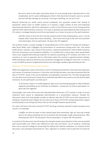*But we've come to the other end of that where it's now actually quite a big deal and it's very complicated, and it's quite challenging but there's that disconnect of easier access to services and, but still that message of, you know, 'If you get something, we can sort it out'.*

Beyond reinforcing our earlier points around complexity, this quotation reveals that 'testing as prevention' places strain on health systems as it requires a large number of tests and frequently administering treatment, which has implications in terms of the financial costs of such testing and the staff time their administration consumes. This strain is possibly even exacerbated by false disclosure of STI contact, a strategy shared by some forum participants as a means to access on-the-spot treatment:

*I feel like I have to lie at the clinic and say someone told me they tested positive, just so I can be treated, when I know that I have something. I don't have time to go to the clinic once and then come back again.* (Forum participant, 34-years-old, HIV negative)

This practice reveals a unique strategy of manipulating the current system of testing and treating in New South Wales, and it highlights the prioritisation of convenience among some men. One sexual health doctor, however, was critical of this practice, raising the potential for antimicrobial resistance from the unnecessary use of powerful antibiotics. It is notable that in recent years some sexual health clinics have stopped administering treatment for patients presenting as STI contacts, but there is no consensus on such an approach and no information about this practice in general practice settings. While testing was clearly an attractive and convenient management strategy for most men, it comes at a cost to health resources recognised by doctors but seemingly invisible to gay and bisexual men.

#### *Mediators: STI PrEP and antimicrobial resistance*

While men appeared to value convenience in terms of testing and treatment, they had some awareness and concern of treatment resistance. In the forum and during interviews, men were presented with the idea of 'STI PrEP', which is the use of antibiotics as prophylaxis to prevent STIs. This idea was generally not met with much enthusiasm mainly due to potential side effects and concerns around antimicrobial resistance. As one participant succinctly put it:

*To be honest I think it's a really dangerous idea to be recommending people to take antibiotics regularly and building up our resistance to antibiotics. I would vote no!* (Forum participant, 32 years-old, HIV negative)

Interestingly, even some of the men who described false disclosures of STI contact in order to access treatment were averse to widespread administration as a preventative measure. Possibly this disconnect stems from how people consider an abstract idea like STI PrEP versus their assessment of individual, situational need. Indeed, the very few men in favour of STI PrEP contextualised their support by advocating its use among only those most at-risk through frequent sexual activity.

For some, the forum discussion around STI PrEP and drug resistance seemed to spark annoyance and concern. For example:

*It baffles me how we seem to have steered away from promoting 'safe sex' and now instead seem to be doing everything we can to promote and encourage unsafe sexual practices. Who should pay for that?? The tax payer?* (Forum participant, 32-years-old, HIV positive)

In contrast to the discussion around testing, this example reveals some attention to the costs associated with sexual health care. Others also reflected on their own and others' use of condoms, reinforcing their use as a proven strategy for preventing STIs without the need for medication. As a feature of this discussion, one participant bemoaned his "lazy" approach to condoms and mused that he would be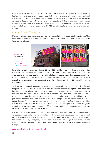more likely to use them again rather than take up STI PrEP. The generally negative attitude towards STI PrEP stands in contrast to another recent study of attitudes among gay and bisexual men, which found that many supported its implementation [14]. Noting that several trials of STI PrEP have been discussed in Australia, it seems clear that there are diverse attitudes towards it as an individual or public health strategy; these will need to be addressed if any attempt at its implementation is going to be successful. Attending to the way in which resistance to HIV PrEP was addressed and overcome may offer one way forward.

#### *Mediators: Sexual health campaigns*

Messaging around sexual health was explored more generally through a dedicated forum thread. Men were shown an outdoor marketing campaign launched jointly by ACON and STIGMA in 2018 and asked to reflect on its impact.



In an informal poll of forum participants, 25 men (81%) had favourable reactions to this campaign specifically, and most were generally supportive of sexual health messaging of this kind. Commonlycited reasons in support of public marketing included that perceptions that they reduce stigma, foster community pride, encourage sexual communication, and promote testing. As one man put it: "They're great. It brings awareness to our community and others" (Forum participant, 33-years-old, unknown HIV status).

While men were generally supportive of public sexual health marketing, they were less clear if it had the power to alter behaviours. Several forum participants expressed that seeing these advertisements had done nothing to alter their condomless sex practices or even increase their testing, due in part to the fact that their sexual health practices were already well established. Some men, however, commented on how these campaigns served as a reminder to be conscious of sexual health. Other participants were somewhat critical of the designs of the campaign shared via the forum (Figure 4), noting that they found the messaging unclear and at times hard to interpret (e.g., "some eye-grabbing text but everything else is too small to read"). Others felt that they could potentially reinforce negative stereotypes of gay men as promiscuous and STI-prone, and two forum participants asked about the financial cost of such efforts relative to their benefits.

It is worth noting that the effects of public sexual health campaigns have been previously evaluated in various settings. Several studies have found that such campaigns can reduce sexual risk practices and promote testing among several populations, including gay and bisexual men [15-18]. Echoing some of the concerns raised by participants, however, some of this research has questioned whether or not these campaigns achieve infection reductions [18] and effects have been found to be modest and shortlived [15].

## A conceptual model of sexual health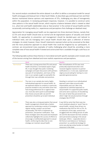Our second analysis considered the entire dataset in an effort to define a conceptual model for sexual health among gay and bisexual men in New South Wales. As described, gay and bisexual men and their doctors maintained diverse opinions and experiences of STIs, challenging any idea of homogeneity within this population. In reviewing participant responses, however, it is possible to construct some clear patterns in the sexual health terrain, which requires a balance between what is viewed as ideal (i.e., what men and health stakeholders view as 'best practice' in the context of sexual health) and the occasionally contrasting reality (i.e., experiences and perceptions that challenge an idealised view).

Appreciation for managing sexual health can be organised into three dominant themes, namely that: (i) STIs and sexual health should exist as normal and de-stigmatised aspects of sexuality and overall health, (ii) approaches to prevention and management should be decided-upon and tailored to individual need, and (iii) managing one's sexual health should draw upon a collection of diverse strategies. As noted, however, these '*should'* statements represent what can be conceived as the ideal, and the most productive approach to sexual health that could be imagined by our participants. In contrast, we encountered many examples of reality challenging what *should* be, providing a more complete view of how sexual health if viewed and constructed than is available through a sole focus on the ideal.

|                       | Ideal                                                                                                                                                                                                                                                                                                                                                                                                                                                                                                                    | Reality                                                                                                                                                                                                                                                                                                                                                                                                                                                                                                                                                            |
|-----------------------|--------------------------------------------------------------------------------------------------------------------------------------------------------------------------------------------------------------------------------------------------------------------------------------------------------------------------------------------------------------------------------------------------------------------------------------------------------------------------------------------------------------------------|--------------------------------------------------------------------------------------------------------------------------------------------------------------------------------------------------------------------------------------------------------------------------------------------------------------------------------------------------------------------------------------------------------------------------------------------------------------------------------------------------------------------------------------------------------------------|
| <b>Normalised</b>     | There was a strong sense that STIs and sexual<br>health should be a normalised aspect of gay<br>life. It was thought that public marketing<br>campaigns and open discussions with partners<br>was part of normalisation, and many of the<br>men in our sample sought to exemplify this<br>through their own attitudes and practices.                                                                                                                                                                                     | Non-normalisation of STIs was most<br>profoundly experienced when men<br>received negative reactions to partner<br>notifications or, in one case, experienced<br>stigma around asking for testing in a non-<br>specialist general practice                                                                                                                                                                                                                                                                                                                         |
| <b>Individualised</b> | The men in our sample also took a highly<br>individualised approach to sexual health. As<br>we explored relative to condoms in particular,<br>practices tended to vary and while some men<br>had strong preferences for or against their<br>use, most also were quick to acknowledge<br>that choices around safer sex and STI<br>prevention should be up to each individual.                                                                                                                                             | Standing in contrast to an individualised<br>approach were ideas around public<br>responsibility and cost. Men only<br>supported an individual approach to<br>sexual health if it supported public health,<br>and some were suspicious of shouldering<br>the costs of what they perceived to be<br>other's high-risk sexual practices through<br>strategies like STI PrEP.                                                                                                                                                                                         |
| Holistic              | There was also a strong perception that sexual<br>health management should take a holistic<br>approach by combining a variety of strategies:<br>regular testing, condom use (at least<br>situationally), HIV PrEP or treatment-as-<br>prevention, and partner notification. That<br>these strategies were discussed and employed<br>collectively highlights the success of efforts to<br>encourage a multifaceted approach to sexual<br>health, reinforcing the idea that no one<br>strategy can maintain sexual health. | It was felt by some that there was too<br>much emphasis placed on 'quick' fixes to<br>sexual health, namely those driven my<br>medications like PrEP for HIV or STIs. As<br>an extension of this idea, several men<br>struggled with the shifting terrain of safer<br>sex and the decreased role that condoms<br>were perceived as playing in the sexual<br>landscape. Others - especially doctors -<br>felt that an overreliance on 'testing-as-<br>prevention' as a preferred strategy for<br>some was placing undue burden on health<br>resources in the state. |

The following table outlines these themes in more detail and with specific examples and it reveals some of the tension arising from idealised and more realistic experiences and perceptions.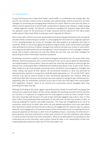## 5. Conclusions

For gay and bisexual men in New South Wales, sexual health is a multifaceted and complex idea. Not only do men maintain a diverse array of attitudes and understandings centred around STIs, but their strategies for preventing and managing these infections are varied. While for some men this seems to reflect a holistic appreciation of sexual health, among others it appears that relying on a single strategy – notably diagnostic testing – has become a mainstay for managing STIs. Questions linger about what this approach means for the distribution of health resources and the capacity for the robust public health system in New South Wales to keep pace amid rising rates of infection.

Many of the state's efforts to promote sexual health practices among gay and bisexual men are popular and well-utilised, at least among our sample. It is encouraging that men took such a pragmatic approach to STIs, revealing perhaps the success of campaigns that have sought to de-stigmatise their place in sexual life. While it is less encouraging that pockets of stigma remain, public sexual health campaigns seem well-placed to continue to deliver messages that reinforce normalcy and, at least to some extent, encourage sexual health prevention and management. Future evaluations of such campaigns, however, should seek to better-understand not only their effects but also their cost, and other strategies for distributing this kind of information should be considered.

By defining a conceptual model for sexual health among gay and bisexual men, this study unites many different, personal perspectives into a central framework that can be used to guide the development and implementation of future efforts. Given the particular value that was placed on choice by gay and bisexual men, continuing to offer multifaceted and individual approaches is key. As part of this, there is likely a balance to be struck between promoting various prevention and management strategies and simply making men aware of their options; we encountered resistance to what was perceived as disproportionate attention to prospective, medically-based approaches (i.e., STI and HIV PrEP), which continue to be seen by some as threats to more conventional approaches, like condoms. While this study found that safer sex norms and practices have and continue to change for gay and bisexual men, negotiating safer sex nevertheless continues to be a part of how men think about their sexual health. Such negotiation, however, seems to be centred more prominently around managing rather than preventing STIs other than HIV.

Although the findings of this study suggest a generally positive climate of sexual health among gay and bisexual men in New South Wales, tensions remain between the way things should be and the way they are currently. It is important to recognise that this study appears to have recruited a sample of men who were reasonably well-versed on STIs and at least nominally engaged in gay culture. How or if the state's efforts have penetrated other populations of men who have sex with men remains unclear, an enduring challenge for research and health promotion. This study was strengthened by its use of an anonymous online forum to collect data, which not only allowed participants to be more open about their experiences, beliefs and fears but also to discuss and engage with the research topics as a group. Reflexive, social engagement is an important aspect of how communities construct meaning and cannot always be captured via interviews or other forms of qualitative enquiry. Conversely, the online forum's group dynamics may have contributed to a false sense consensus if men felt unwilling to voice dissent or merely echoed comments from other participants. While we compensated for this possibility by also conducting one-on-one interviews, some cautious should be taken in the interpretation of how men viewed potentially contentious ideas like STI PrEP and condom use.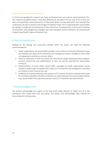#### *Do gay and bisexual men care about STIs?*

A central issue guiding this research was if gay and bisexual men care and are concerned about STIs. The simple but qualified answer is that they definitely do care about STIs but only so far as that care does not impede their sexual experiences. In New South Wales, the ease with which men reported they could access services to prevent and manage STIs played a major role in supporting their sexual health by making it a simple and normalised part of their sexual lives. Providing choice of and access to diverse STI prevention and management strategies that meet individual need and lifestyle is an essential part of good sexual health of gay and bisexual men.

## 6. Recommendations

Building on the findings and conclusions detailed within this report, we make the following recommendations:

- 1. Health organisations and sexual health providers must continue to provide information to gay and bisexual men about all STI prevention and management options available to them while not appearing to preference one over others,
- 2. Efforts to implement STI PrEP must work with communities of gay and bisexual men to address concerns around the over-medicalisation of safer sex and the potential for antimicrobial resistance,
- 3. Implementation of future public sexual health campaigns by health organisations should include an explicit plan to evaluate their impact on STI prevention and management, including as it relates to their financial cost, and
- 4. Guidelines for treating individuals who present as STI contacts should be reviewed and revised for consistency between and within jurisdictions as well as between the various health contexts (e.g., sexual health clinics, general practice) in which STI treatments are administered.

## 7.Acknowledgements

The authors acknowledge the support of the New South Wales Ministry of Health and all of the participants who shared their time and stories. The authors also acknowledge Jodie Cawood for transcribing the interview data.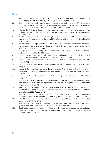## 8. References

- 1. New South Wales Ministry of Health. *NSW Sexually Transmissible Infections Strategy 2016- 2020, January to June 2016 Data Report*, 2017; NSW Health: Sydney, NSW.
- 2. Holt M, et al. Community-level changes in condom use and uptake of HIV pre-exposure prophylaxis by gay and bisexual men in Melbourne and Sydney, Australia: results of repeated behavioural surveillance in 2013–17*. The Lancet HIV*. 2018; 5: PE448-E458.
- 4. Callander D, et al. Gonorrhoea gone wild: rising incidence of gonorrhoea and associated risk factors among gay and bisexual men attending Australian sexual health clinics. *Sexual Health*. 2018; online first.
- 5. Holt M, Bernard D, Race K. Gay men's perceptions of sexually transmissible infections and their experiences of diagnosis:'part of the way of life'to feeling 'dirty and ashamed'. Sexual Health. 2010; 7: 411-416.
- 6. Walker S, et al. Pharyngeal gonorrhoea: The willingness of australian men who have sex with men to change current sexual practices to reduce their risk of transmission—a qualitative study. *PLOS ONE*. 2016; 11: e0164033.
- 7. Prestage G, et al. Understanding gay community subcultures: Implications for HIV prevention. *AIDS and Behavior*. 2015; 19: 2224-2233.
- 8. Bazeley P, Kemp L. Mosaics, triangles, and DNA: Metaphors for integrated analysis in mixed methods research. *Journal of Mixed Methods Research*. 2012; 6: 55-72.
- 9. Sandelowski M. Qualitative analysis: What it is and how to begin. *Research in Nursing & Health*. 1995; 18: 371-375.
- 10. Braun V, Clarke V. *U*sing thematic analysis in psychology. *Qualitative Research in Psychology.* 2006; 3: 77-101.
- 11. Fereday J. Demonstrating rigor using thematic analysis: A hybrid approach of inductive and deductive coding and theme development*. International Journal of Qualitative Methods*. 2006; 5: 80-92.
- 12. Kippax S, et al. Sexual negotiation in the AIDS era: negotiated safety revisited. *AIDS*. 1997; 11:191-197.
- 13. Reid D, et al. O24 Which sexually transmitted infections do gay and bisexual men find most scary and why? a qualitative focus group study in four cities in england*. Sexually Transmitted Infections*. 2017; 93: A9-A9.
- 14. Horn R, Haire B, Callander D. "It lets people have more personal agency with their own health": perceptions of sti-prep among gay and bisexual men. *IUSTI Asia Pacific Sexual Health Congress* (presentation). 2018; Auckland, NZ.
- 15. Snyder LB, et al. A meta-analysis of the effect of mediated health communication campaigns on behavior change in the United States*. Journal of Health Communication*. 2004; 9: 71-96.
- 16. Keller SN, Brown JD. Media interventions to promote responsible sexual behavior*. Journal of Sex Research*. 2002; 39: 67-72.
- 17. Wright PJ. Mass media effects on youth sexual behavior assessing the claim for causality. *Annals of the International Communication Association*. 2011; 35: 343-385.
- 18. Nicoll A, et al. Assessing the impact of national anti-HIV sexual health campaigns: trends in the transmission of HIV and other sexually transmitted infections in England. *Sexually Transmitted Infections*. 2001; 77: 242-247.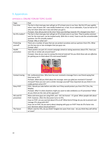# 9.Appendices

# APPENDIX A: ONLINE FORUM TOPIC GUIDE

| Topic                     | Post                                                                                                                                                                                                                                                                                                                                                                                                                     |
|---------------------------|--------------------------------------------------------------------------------------------------------------------------------------------------------------------------------------------------------------------------------------------------------------------------------------------------------------------------------------------------------------------------------------------------------------------------|
| First time                | The fact is that most gay men will get an STI at least once in our lives. My first STI was syphilis<br>when I was 19 years old. I was totally freaked out, in fact. As an icebreaker, if you've had an STI<br>why not share what one it was and when you got it.<br>Prompts: How did you feel at the time? Have your feelings towards STIs changed since then?                                                           |
| Do STIs matter?           | The fact is that most gay men will get an STI at least once in our lives. They're pretty common<br>and, for the most part, can be treated easily. With this in mind, I have to ask the uncomfortable<br>question: Do STIs actually matter?<br>Prompt: Why or what not?                                                                                                                                                   |
| Protecting<br>yourself    | There are a number of ways that we can protect ourselves and our partners from STIs. What<br>are the top one or two strategies that you guys use.<br>Prompt: why?                                                                                                                                                                                                                                                        |
| Health<br>promotion       | These posters are part of a recent campaign aimed at raising awareness about STIs. Have you<br>seen this or similar ads around town?<br>Prompts: How do you react to seeing this kind of material? Do you think these ads are effective<br>for getting you to think about STIs and sexual health?                                                                                                                        |
|                           |                                                                                                                                                                                                                                                                                                                                                                                                                          |
| Contact tracing           | OK, confessional time. Who here has ever received a message from a sex friend saying that<br>they had an STI?<br>Prompts: What did you think about the message: were you glad you received it? Scared?<br>Annoyed? Have you ever sent a similar message yourself? How important do you think it is to<br>notify partners of an STI?                                                                                      |
| Doxy-PrEP                 | POLL: Would you take before and after sex if they would protect you from STIs? [Yes; No;<br>Maybe]<br>Prompts: Why? In what situations might you want to take antibiotics as STI prevention? What<br>do you think are the risks of this approach?                                                                                                                                                                        |
| HIV and STI<br>prevention | More and more guys are using PrEP, and - let's be honest - it's great. When people talk about<br>PrEP, however, often the discussion turns to STIs.<br>Guys on PrEP, are you worried about STIs at all? What kind of things do you do to prevent and<br>manage STIs along with HIV?<br>Guys not on PrEP, do you worry about sleeping with guys on PrEP? How do STIs factor into<br>your decisions about sexual partners? |
| The future                | What's next for STIs, do you think? Imagine ten years from now - do you think they will still be<br>an issue?                                                                                                                                                                                                                                                                                                            |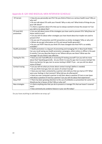# Appendix B: GAY AND BISEXUAL MEN INTERVIEW SCHEDULE

| STI terrain             | . How do you personally see STIs? Do you think of them as a serious health issue? Why or<br>why not?                                                         |
|-------------------------|--------------------------------------------------------------------------------------------------------------------------------------------------------------|
|                         | . Do you talk about STIs with your friends? Why or why not? What kinds of things do you<br>guys talk about?                                                  |
|                         | . Is there a question about STIs that you've always wanted to know the answer to? Can<br>you talk to me about that?                                          |
| STI (and HIV)           | • Can you tell about some of the strategies you have used to prevent STIs? Why/how are                                                                       |
| prevention              | these useful to you?                                                                                                                                         |
|                         | . Can you tell me about other strategies you have heard about but maybe not used to                                                                          |
|                         | prevent STIs?                                                                                                                                                |
|                         | . Do you see STI prevention and HIV prevention as similar strategies? Why or why not?<br>. Where do you get information on STIs and sexual health generally? |
|                         | . Do you use PrEP? How do you think STIs have changed now that PrEP is so widely                                                                             |
|                         | available?                                                                                                                                                   |
| Health promotion        | . Health promotion is a big part of preventing and managing STIs in New South Wales.                                                                         |
|                         | Can you recall seeing any health promotion campaigns, either online or offline in the past                                                                   |
|                         | 6 months? Can you describe these to me? Where did you see them? What was the                                                                                 |
|                         | message? Do you think it was effective                                                                                                                       |
| <b>Testing for STIs</b> | . Have you ever had difficulty in accessing STI testing yourself? Can you tell me more                                                                       |
|                         | about that? Speaking generally - do you think it is easy for gay men to access testing? Are                                                                  |
|                         | there any barriers for gay men to access testing in NSW? If yes - can you tell me about                                                                      |
|                         | some of these?                                                                                                                                               |
| Contact tracing         | • Can you tell me what you know about contact tracing? (define is needed)                                                                                    |
|                         | . Do you think most gay men are aware of contact tracing?                                                                                                    |
|                         | . Have you ever been contacted by a partner who told you that you had an STI? What                                                                           |
|                         | were your feelings in that moment? What did you do afterwards?                                                                                               |
|                         | . Have you ever contacted a partner to tell then about a positive STI test or ever been                                                                      |
|                         | told about a positive STI test by a partner? Can you tell me about that experience?                                                                          |
| Doxy-PrEP               | . There has been growing attention to the use of antibiotics as prevention for some STIs.                                                                    |
|                         | Would you be in favour of this? Why or why not?                                                                                                              |
| New strategies          | • Is there anything else that you do to prevent or manage STIs that we haven't covered                                                                       |
|                         | here?                                                                                                                                                        |
|                         | • How commonly do condoms feature in your sex life today?                                                                                                    |

Do you have anything to add before we wrap up?